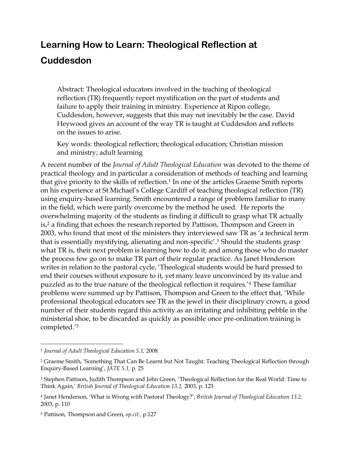## **Learning How to Learn: Theological Reflection at Cuddesdon**

Abstract: Theological educators involved in the teaching of theological reflection (TR) frequently report mystification on the part of students and failure to apply their training in ministry. Experience at Ripon college, Cuddesdon, however, suggests that this may not inevitably be the case. David Heywood gives an account of the way TR is taught at Cuddesdon and reflects on the issues to arise.

Key words: theological reflection; theological education; Christian mission and ministry; adult learning

A recent number of the *Journal of Adult Theological Education* was devoted to the theme of practical theology and in particular a consideration of methods of teaching and learning that give priority to the skills of reflection.<sup>1</sup> In one of the articles Graeme Smith reports on his experience at St Michael's College Cardiff of teaching theological reflection (TR) using enquiry-based learning. Smith encountered a range of problems familiar to many in the field, which were partly overcome by the method he used. He reports the overwhelming majority of the students as finding it difficult to grasp what TR actually is,<sup>2</sup> a finding that echoes the research reported by Pattison, Thompson and Green in 2003, who found that most of the ministers they interviewed saw TR as 'a technical term that is essentially mystifying, alienating and non-specific'.<sup>3</sup> Should the students grasp what TR is, their next problem is learning how to do it; and among those who do master the process few go on to make TR part of their regular practice. As Janet Henderson writes in relation to the pastoral cycle, 'Theological students would be hard pressed to end their courses without exposure to it, yet many leave unconvinced by its value and puzzled as to the true nature of the theological reflection it requires.'<sup>4</sup> These familiar problems were summed up by Pattison, Thompson and Green to the effect that, 'While professional theological educators see TR as the jewel in their disciplinary crown, a good number of their students regard this activity as an irritating and inhibiting pebble in the ministerial shoe, to be discarded as quickly as possible once pre-ordination training is completed.'<sup>5</sup>

<sup>1</sup> *Journal of Adult Theological Education 5.1,* 2008.

<sup>2</sup> Graeme Smith, 'Something That Can Be Learnt but Not Taught: Teaching Theological Reflection through Enquiry-Based Learning', *JATE 5.1,* p. 25

<sup>3</sup> Stephen Pattison, Judith Thompson and John Green, 'Theological Reflection for the Real World: Time to Think Again,' *British Journal of Theological Education 13.2,* 2003, p. 123

<sup>4</sup> Janet Henderson, 'What is Wrong with Pastoral Theology?', *British Journal of Theological Education 13.2,*  2003, p. 110

<sup>5</sup> Pattison, Thompson and Green, *op.cit.,* p.127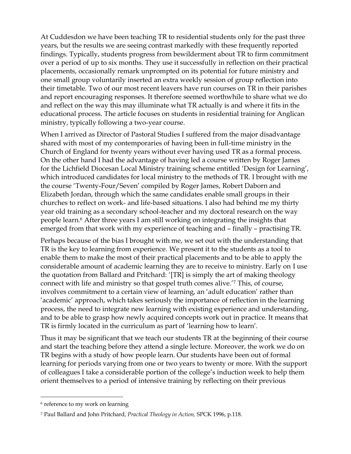At Cuddesdon we have been teaching TR to residential students only for the past three years, but the results we are seeing contrast markedly with these frequently reported findings. Typically, students progress from bewilderment about TR to firm commitment over a period of up to six months. They use it successfully in reflection on their practical placements, occasionally remark unprompted on its potential for future ministry and one small group voluntarily inserted an extra weekly session of group reflection into their timetable. Two of our most recent leavers have run courses on TR in their parishes and report encouraging responses. It therefore seemed worthwhile to share what we do and reflect on the way this may illuminate what TR actually is and where it fits in the educational process. The article focuses on students in residential training for Anglican ministry, typically following a two-year course.

When I arrived as Director of Pastoral Studies I suffered from the major disadvantage shared with most of my contemporaries of having been in full-time ministry in the Church of England for twenty years without ever having used TR as a formal process. On the other hand I had the advantage of having led a course written by Roger James for the Lichfield Diocesan Local Ministry training scheme entitled 'Design for Learning', which introduced candidates for local ministry to the methods of TR. I brought with me the course 'Twenty-Four/Seven' compiled by Roger James, Robert Daborn and Elizabeth Jordan, through which the same candidates enable small groups in their churches to reflect on work- and life-based situations. I also had behind me my thirty year old training as a secondary school-teacher and my doctoral research on the way people learn. <sup>6</sup> After three years I am still working on integrating the insights that emerged from that work with my experience of teaching and – finally – practising TR.

Perhaps because of the bias I brought with me, we set out with the understanding that TR is the key to learning from experience. We present it to the students as a tool to enable them to make the most of their practical placements and to be able to apply the considerable amount of academic learning they are to receive to ministry. Early on I use the quotation from Ballard and Pritchard: '[TR] is simply the art of making theology connect with life and ministry so that gospel truth comes alive.'<sup>7</sup> This, of course, involves commitment to a certain view of learning, an 'adult education' rather than 'academic' approach, which takes seriously the importance of reflection in the learning process, the need to integrate new learning with existing experience and understanding, and to be able to grasp how newly acquired concepts work out in practice. It means that TR is firmly located in the curriculum as part of 'learning how to learn'.

Thus it may be significant that we teach our students TR at the beginning of their course and start the teaching before they attend a single lecture. Moreover, the work we do on TR begins with a study of how people learn. Our students have been out of formal learning for periods varying from one or two years to twenty or more. With the support of colleagues I take a considerable portion of the college's induction week to help them orient themselves to a period of intensive training by reflecting on their previous

<sup>6</sup> reference to my work on learning

<sup>7</sup> Paul Ballard and John Pritchard, *Practical Theology in Action,* SPCK 1996, p.118.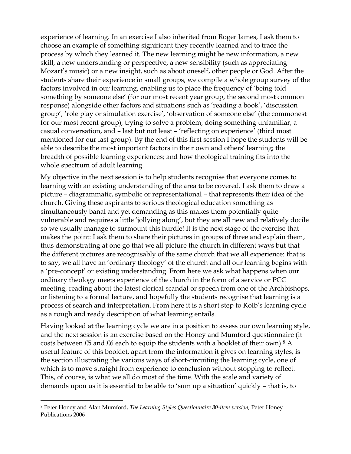experience of learning. In an exercise I also inherited from Roger James, I ask them to choose an example of something significant they recently learned and to trace the process by which they learned it. The new learning might be new information, a new skill, a new understanding or perspective, a new sensibility (such as appreciating Mozart's music) or a new insight, such as about oneself, other people or God. After the students share their experience in small groups, we compile a whole group survey of the factors involved in our learning, enabling us to place the frequency of 'being told something by someone else' (for our most recent year group, the second most common response) alongside other factors and situations such as 'reading a book', 'discussion group', 'role play or simulation exercise', 'observation of someone else' (the commonest for our most recent group), trying to solve a problem, doing something unfamiliar, a casual conversation, and – last but not least – 'reflecting on experience' (third most mentioned for our last group). By the end of this first session I hope the students will be able to describe the most important factors in their own and others' learning; the breadth of possible learning experiences; and how theological training fits into the whole spectrum of adult learning.

My objective in the next session is to help students recognise that everyone comes to learning with an existing understanding of the area to be covered. I ask them to draw a picture – diagrammatic, symbolic or representational – that represents their idea of the church. Giving these aspirants to serious theological education something as simultaneously banal and yet demanding as this makes them potentially quite vulnerable and requires a little 'jollying along', but they are all new and relatively docile so we usually manage to surmount this hurdle! It is the next stage of the exercise that makes the point: I ask them to share their pictures in groups of three and explain them, thus demonstrating at one go that we all picture the church in different ways but that the different pictures are recognisably of the same church that we all experience: that is to say, we all have an 'ordinary theology' of the church and all our learning begins with a 'pre-concept' or existing understanding. From here we ask what happens when our ordinary theology meets experience of the church in the form of a service or PCC meeting, reading about the latest clerical scandal or speech from one of the Archbishops, or listening to a formal lecture, and hopefully the students recognise that learning is a process of search and interpretation. From here it is a short step to Kolb's learning cycle as a rough and ready description of what learning entails.

Having looked at the learning cycle we are in a position to assess our own learning style, and the next session is an exercise based on the Honey and Mumford questionnaire (it costs between £5 and £6 each to equip the students with a booklet of their own).<sup>8</sup> A useful feature of this booklet, apart from the information it gives on learning styles, is the section illustrating the various ways of short-circuiting the learning cycle, one of which is to move straight from experience to conclusion without stopping to reflect. This, of course, is what we all do most of the time. With the scale and variety of demands upon us it is essential to be able to 'sum up a situation' quickly – that is, to

<sup>8</sup> Peter Honey and Alan Mumford, *The Learning Styles Questionnaire 80-item version,* Peter Honey Publications 2006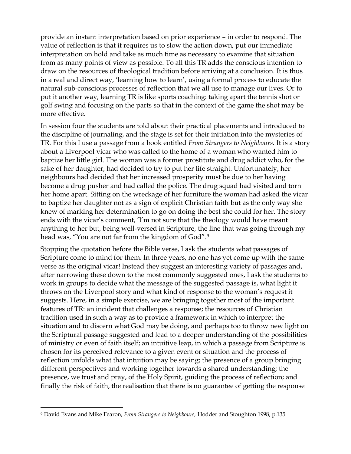provide an instant interpretation based on prior experience – in order to respond. The value of reflection is that it requires us to slow the action down, put our immediate interpretation on hold and take as much time as necessary to examine that situation from as many points of view as possible. To all this TR adds the conscious intention to draw on the resources of theological tradition before arriving at a conclusion. It is thus in a real and direct way, 'learning how to learn', using a formal process to educate the natural sub-conscious processes of reflection that we all use to manage our lives. Or to put it another way, learning TR is like sports coaching: taking apart the tennis shot or golf swing and focusing on the parts so that in the context of the game the shot may be more effective.

In session four the students are told about their practical placements and introduced to the discipline of journaling, and the stage is set for their initiation into the mysteries of TR. For this I use a passage from a book entitled *From Strangers to Neighbours.* It is a story about a Liverpool vicar who was called to the home of a woman who wanted him to baptize her little girl. The woman was a former prostitute and drug addict who, for the sake of her daughter, had decided to try to put her life straight. Unfortunately, her neighbours had decided that her increased prosperity must be due to her having become a drug pusher and had called the police. The drug squad had visited and torn her home apart. Sitting on the wreckage of her furniture the woman had asked the vicar to baptize her daughter not as a sign of explicit Christian faith but as the only way she knew of marking her determination to go on doing the best she could for her. The story ends with the vicar's comment, 'I'm not sure that the theology would have meant anything to her but, being well-versed in Scripture, the line that was going through my head was, "You are not far from the kingdom of God".<sup>9</sup>

Stopping the quotation before the Bible verse, I ask the students what passages of Scripture come to mind for them. In three years, no one has yet come up with the same verse as the original vicar! Instead they suggest an interesting variety of passages and, after narrowing these down to the most commonly suggested ones, I ask the students to work in groups to decide what the message of the suggested passage is, what light it throws on the Liverpool story and what kind of response to the woman's request it suggests. Here, in a simple exercise, we are bringing together most of the important features of TR: an incident that challenges a response; the resources of Christian tradition used in such a way as to provide a framework in which to interpret the situation and to discern what God may be doing, and perhaps too to throw new light on the Scriptural passage suggested and lead to a deeper understanding of the possibilities of ministry or even of faith itself; an intuitive leap, in which a passage from Scripture is chosen for its perceived relevance to a given event or situation and the process of reflection unfolds what that intuition may be saying; the presence of a group bringing different perspectives and working together towards a shared understanding; the presence, we trust and pray, of the Holy Spirit, guiding the process of reflection; and finally the risk of faith, the realisation that there is no guarantee of getting the response

<sup>9</sup> David Evans and Mike Fearon, *From Strangers to Neighbours,* Hodder and Stoughton 1998, p.135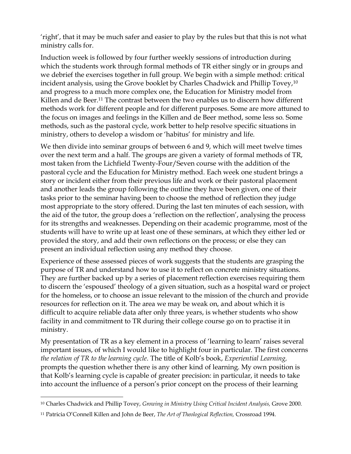'right', that it may be much safer and easier to play by the rules but that this is not what ministry calls for.

Induction week is followed by four further weekly sessions of introduction during which the students work through formal methods of TR either singly or in groups and we debrief the exercises together in full group. We begin with a simple method: critical incident analysis, using the Grove booklet by Charles Chadwick and Phillip Tovey,<sup>10</sup> and progress to a much more complex one, the Education for Ministry model from Killen and de Beer.<sup>11</sup> The contrast between the two enables us to discern how different methods work for different people and for different purposes. Some are more attuned to the focus on images and feelings in the Killen and de Beer method, some less so. Some methods, such as the pastoral cycle, work better to help resolve specific situations in ministry, others to develop a wisdom or 'habitus' for ministry and life.

We then divide into seminar groups of between 6 and 9, which will meet twelve times over the next term and a half. The groups are given a variety of formal methods of TR, most taken from the Lichfield Twenty-Four/Seven course with the addition of the pastoral cycle and the Education for Ministry method. Each week one student brings a story or incident either from their previous life and work or their pastoral placement and another leads the group following the outline they have been given, one of their tasks prior to the seminar having been to choose the method of reflection they judge most appropriate to the story offered. During the last ten minutes of each session, with the aid of the tutor, the group does a 'reflection on the reflection', analysing the process for its strengths and weaknesses. Depending on their academic programme, most of the students will have to write up at least one of these seminars, at which they either led or provided the story, and add their own reflections on the process; or else they can present an individual reflection using any method they choose.

Experience of these assessed pieces of work suggests that the students are grasping the purpose of TR and understand how to use it to reflect on concrete ministry situations. They are further backed up by a series of placement reflection exercises requiring them to discern the 'espoused' theology of a given situation, such as a hospital ward or project for the homeless, or to choose an issue relevant to the mission of the church and provide resources for reflection on it. The area we may be weak on, and about which it is difficult to acquire reliable data after only three years, is whether students who show facility in and commitment to TR during their college course go on to practise it in ministry.

My presentation of TR as a key element in a process of 'learning to learn' raises several important issues, of which I would like to highlight four in particular. The first concerns *the relation of TR to the learning cycle*. The title of Kolb's book, *Experiential Learning,*  prompts the question whether there is any other kind of learning. My own position is that Kolb's learning cycle is capable of greater precision: in particular, it needs to take into account the influence of a person's prior concept on the process of their learning

 $\overline{a}$ <sup>10</sup> Charles Chadwick and Phillip Tovey, *Growing in Ministry Using Critical Incident Analysis,* Grove 2000.

<sup>11</sup> Patricia O'Connell Killen and John de Beer, *The Art of Theological Reflection,* Crossroad 1994.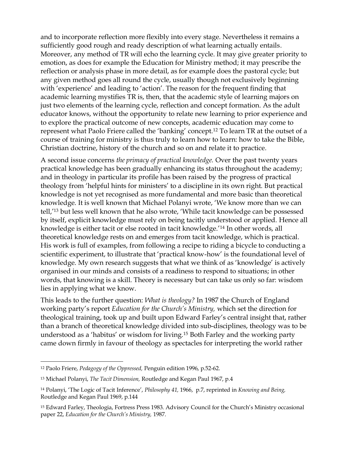and to incorporate reflection more flexibly into every stage. Nevertheless it remains a sufficiently good rough and ready description of what learning actually entails. Moreover, any method of TR will echo the learning cycle. It may give greater priority to emotion, as does for example the Education for Ministry method; it may prescribe the reflection or analysis phase in more detail, as for example does the pastoral cycle; but any given method goes all round the cycle, usually though not exclusively beginning with 'experience' and leading to 'action'. The reason for the frequent finding that academic learning mystifies TR is, then, that the academic style of learning majors on just two elements of the learning cycle, reflection and concept formation. As the adult educator knows, without the opportunity to relate new learning to prior experience and to explore the practical outcome of new concepts, academic education may come to represent what Paolo Friere called the 'banking' concept.<sup>12</sup> To learn TR at the outset of a course of training for ministry is thus truly to learn how to learn: how to take the Bible, Christian doctrine, history of the church and so on and relate it to practice.

A second issue concerns *the primacy of practical knowledge.* Over the past twenty years practical knowledge has been gradually enhancing its status throughout the academy; and in theology in particular its profile has been raised by the progress of practical theology from 'helpful hints for ministers' to a discipline in its own right. But practical knowledge is not yet recognised as more fundamental and more basic than theoretical knowledge. It is well known that Michael Polanyi wrote, 'We know more than we can tell,'<sup>13</sup> but less well known that he also wrote, 'While tacit knowledge can be possessed by itself, explicit knowledge must rely on being tacitly understood or applied. Hence all knowledge is either tacit or else rooted in tacit knowledge.'<sup>14</sup> In other words, all theoretical knowledge rests on and emerges from tacit knowledge, which is practical. His work is full of examples, from following a recipe to riding a bicycle to conducting a scientific experiment, to illustrate that 'practical know-how' is the foundational level of knowledge. My own research suggests that what we think of as 'knowledge' is actively organised in our minds and consists of a readiness to respond to situations; in other words, that knowing is a skill. Theory is necessary but can take us only so far: wisdom lies in applying what we know.

This leads to the further question: *What is theology?* In 1987 the Church of England working party's report *Education for the Church's Ministry,* which set the direction for theological training, took up and built upon Edward Farley's central insight that, rather than a branch of theoretical knowledge divided into sub-disciplines, theology was to be understood as a 'habitus' or wisdom for living.<sup>15</sup> Both Farley and the working party came down firmly in favour of theology as spectacles for interpreting the world rather

<sup>12</sup> Paolo Friere, *Pedagogy of the Oppressed,* Penguin edition 1996, p.52-62.

<sup>13</sup> Michael Polanyi, *The Tacit Dimension,* Routledge and Kegan Paul 1967, p.4

<sup>14</sup> Polanyi, 'The Logic of Tacit Inference', *Philosophy 41,* 1966, p.7, reprinted in *Knowing and Being,*  Routledge and Kegan Paul 1969, p.144

<sup>15</sup> Edward Farley, Theologia, Fortress Press 1983. Advisory Council for the Church's Ministry occasional paper 22, *Education for the Church's Ministry,* 1987.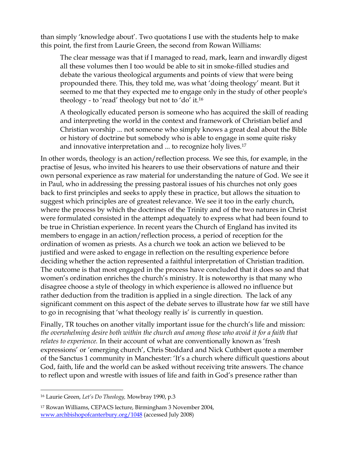than simply 'knowledge about'. Two quotations I use with the students help to make this point, the first from Laurie Green, the second from Rowan Williams:

The clear message was that if I managed to read, mark, learn and inwardly digest all these volumes then I too would be able to sit in smoke-filled studies and debate the various theological arguments and points of view that were being propounded there. This, they told me, was what 'doing theology' meant. But it seemed to me that they expected me to engage only in the study of other people's theology - to 'read' theology but not to 'do' it.<sup>16</sup>

A theologically educated person is someone who has acquired the skill of reading and interpreting the world in the context and framework of Christian belief and Christian worship ... not someone who simply knows a great deal about the Bible or history of doctrine but somebody who is able to engage in some quite risky and innovative interpretation and ... to recognize holy lives.<sup>17</sup>

In other words, theology is an action/reflection process. We see this, for example, in the practise of Jesus, who invited his hearers to use their observations of nature and their own personal experience as raw material for understanding the nature of God. We see it in Paul, who in addressing the pressing pastoral issues of his churches not only goes back to first principles and seeks to apply these in practice, but allows the situation to suggest which principles are of greatest relevance. We see it too in the early church, where the process by which the doctrines of the Trinity and of the two natures in Christ were formulated consisted in the attempt adequately to express what had been found to be true in Christian experience. In recent years the Church of England has invited its members to engage in an action/reflection process, a period of reception for the ordination of women as priests. As a church we took an action we believed to be justified and were asked to engage in reflection on the resulting experience before deciding whether the action represented a faithful interpretation of Christian tradition. The outcome is that most engaged in the process have concluded that it does so and that women's ordination enriches the church's ministry. It is noteworthy is that many who disagree choose a style of theology in which experience is allowed no influence but rather deduction from the tradition is applied in a single direction. The lack of any significant comment on this aspect of the debate serves to illustrate how far we still have to go in recognising that 'what theology really is' is currently in question.

Finally, TR touches on another vitally important issue for the church's life and mission: *the overwhelming desire both within the church and among those who avoid it for a faith that relates to experience.* In their account of what are conventionally known as 'fresh expressions' or 'emerging church', Chris Stoddard and Nick Cuthbert quote a member of the Sanctus 1 community in Manchester: 'It's a church where difficult questions about God, faith, life and the world can be asked without receiving trite answers. The chance to reflect upon and wrestle with issues of life and faith in God's presence rather than

<sup>16</sup> Laurie Green, *Let's Do Theology,* Mowbray 1990, p.3

<sup>17</sup> Rowan Williams, CEPACS lecture, Birmingham 3 November 2004, [www.archbishopofcanterbury.org/1048](http://www.archbishopofcanterbury.org/1048) (accessed July 2008)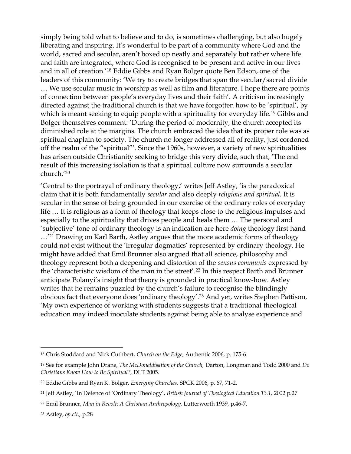simply being told what to believe and to do, is sometimes challenging, but also hugely liberating and inspiring. It's wonderful to be part of a community where God and the world, sacred and secular, aren't boxed up neatly and separately but rather where life and faith are integrated, where God is recognised to be present and active in our lives and in all of creation.'<sup>18</sup> Eddie Gibbs and Ryan Bolger quote Ben Edson, one of the leaders of this community: 'We try to create bridges that span the secular/sacred divide … We use secular music in worship as well as film and literature. I hope there are points of connection between people's everyday lives and their faith'. A criticism increasingly directed against the traditional church is that we have forgotten how to be 'spiritual', by which is meant seeking to equip people with a spirituality for everyday life.<sup>19</sup> Gibbs and Bolger themselves comment: 'During the period of modernity, the church accepted its diminished role at the margins. The church embraced the idea that its proper role was as spiritual chaplain to society. The church no longer addressed all of reality, just cordoned off the realm of the "spiritual"'. Since the 1960s, however, a variety of new spiritualities has arisen outside Christianity seeking to bridge this very divide, such that, 'The end result of this increasing isolation is that a spiritual culture now surrounds a secular church.'<sup>20</sup>

'Central to the portrayal of ordinary theology,' writes Jeff Astley, 'is the paradoxical claim that it is both fundamentally *secular* and also deeply *religious and spiritual.* It is secular in the sense of being grounded in our exercise of the ordinary roles of everyday life … It is religious as a form of theology that keeps close to the religious impulses and especially to the spirituality that drives people and heals them … The personal and 'subjective' tone of ordinary theology is an indication are here *doing* theology first hand …'<sup>21</sup> Drawing on Karl Barth, Astley argues that the more academic forms of theology could not exist without the 'irregular dogmatics' represented by ordinary theology. He might have added that Emil Brunner also argued that all science, philosophy and theology represent both a deepening and distortion of the *sensus communis* expressed by the 'characteristic wisdom of the man in the street'.<sup>22</sup> In this respect Barth and Brunner anticipate Polanyi's insight that theory is grounded in practical know-how. Astley writes that he remains puzzled by the church's failure to recognise the blindingly obvious fact that everyone does 'ordinary theology'.<sup>23</sup> And yet, writes Stephen Pattison, 'My own experience of working with students suggests that a traditional theological education may indeed inoculate students against being able to analyse experience and

<sup>18</sup> Chris Stoddard and Nick Cuthbert, *Church on the Edge,* Authentic 2006, p. 175-6.

<sup>19</sup> See for example John Drane, *The McDonaldisation of the Church,* Darton, Longman and Todd 2000 and *Do Christians Know How to Be Spiritual?,* DLT 2005.

<sup>20</sup> Eddie Gibbs and Ryan K. Bolger, *Emerging Churches,* SPCK 2006, p. 67, 71-2.

<sup>21</sup> Jeff Astley, 'In Defence of 'Ordinary Theology', *British Journal of Theological Education 13.1,* 2002 p.27

<sup>22</sup> Emil Brunner, *Man in Revolt: A Christian Anthropology,* Lutterworth 1939, p.46-7.

<sup>23</sup> Astley, *op.cit.,* p.28